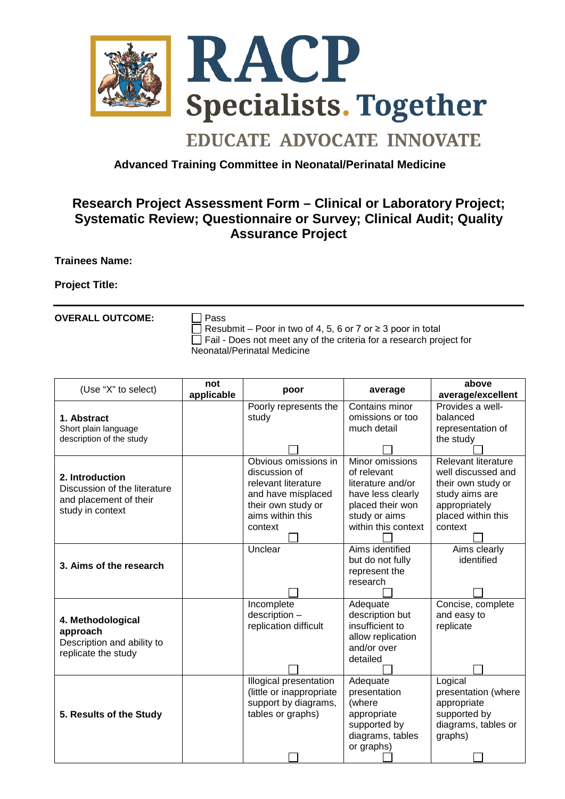

## **EDUCATE ADVOCATE INNOVATE**

## **Advanced Training Committee in Neonatal/Perinatal Medicine**

## **Research Project Assessment Form – Clinical or Laboratory Project; Systematic Review; Questionnaire or Survey; Clinical Audit; Quality Assurance Project**

**Trainees Name:** 

**Project Title:**

**OVERALL OUTCOME:** □ Pass

Resubmit – Poor in two of 4, 5, 6 or 7 or  $\geq$  3 poor in total  $\Box$  Fail - Does not meet any of the criteria for a research project for Neonatal/Perinatal Medicine

| (Use "X" to select)                                                                           | not<br>applicable | poor                        | average                     | above<br>average/excellent       |
|-----------------------------------------------------------------------------------------------|-------------------|-----------------------------|-----------------------------|----------------------------------|
|                                                                                               |                   | Poorly represents the       | Contains minor              | Provides a well-                 |
| 1. Abstract<br>Short plain language<br>description of the study                               |                   | study                       | omissions or too            | balanced                         |
|                                                                                               |                   |                             | much detail                 | representation of                |
|                                                                                               |                   |                             |                             | the study                        |
|                                                                                               |                   |                             |                             |                                  |
| 2. Introduction<br>Discussion of the literature<br>and placement of their<br>study in context |                   | Obvious omissions in        | Minor omissions             | Relevant literature              |
|                                                                                               |                   | discussion of               | of relevant                 | well discussed and               |
|                                                                                               |                   | relevant literature         | literature and/or           | their own study or               |
|                                                                                               |                   | and have misplaced          | have less clearly           | study aims are                   |
|                                                                                               |                   | their own study or          | placed their won            | appropriately                    |
|                                                                                               |                   | aims within this            | study or aims               | placed within this               |
|                                                                                               |                   | context                     | within this context         | context                          |
|                                                                                               |                   |                             |                             |                                  |
| 3. Aims of the research                                                                       |                   | Unclear                     | Aims identified             | Aims clearly                     |
|                                                                                               |                   |                             | but do not fully            | identified                       |
|                                                                                               |                   |                             | represent the               |                                  |
|                                                                                               |                   |                             | research                    |                                  |
|                                                                                               |                   |                             |                             |                                  |
| 4. Methodological<br>approach<br>Description and ability to<br>replicate the study            |                   | Incomplete<br>description - | Adequate<br>description but | Concise, complete<br>and easy to |
|                                                                                               |                   | replication difficult       | insufficient to             | replicate                        |
|                                                                                               |                   |                             | allow replication           |                                  |
|                                                                                               |                   |                             | and/or over                 |                                  |
|                                                                                               |                   |                             | detailed                    |                                  |
|                                                                                               |                   |                             |                             |                                  |
| 5. Results of the Study                                                                       |                   | Illogical presentation      | Adequate                    | Logical                          |
|                                                                                               |                   | (little or inappropriate    | presentation                | presentation (where              |
|                                                                                               |                   | support by diagrams,        | (where                      | appropriate                      |
|                                                                                               |                   | tables or graphs)           | appropriate                 | supported by                     |
|                                                                                               |                   |                             | supported by                | diagrams, tables or              |
|                                                                                               |                   |                             | diagrams, tables            | graphs)                          |
|                                                                                               |                   |                             | or graphs)                  |                                  |
|                                                                                               |                   |                             |                             |                                  |